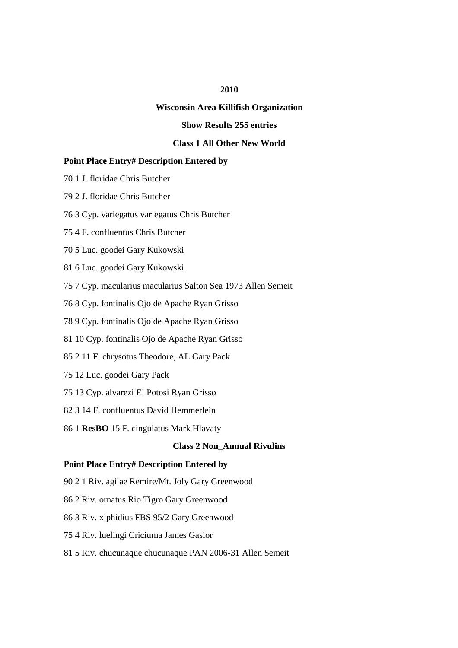## **2010**

## **Wisconsin Area Killifish Organization**

## **Show Results 255 entries**

# **Class 1 All Other New World**

#### **Point Place Entry# Description Entered by**

- 70 1 J. floridae Chris Butcher
- 79 2 J. floridae Chris Butcher
- 76 3 Cyp. variegatus variegatus Chris Butcher
- 75 4 F. confluentus Chris Butcher
- 70 5 Luc. goodei Gary Kukowski
- 81 6 Luc. goodei Gary Kukowski
- 75 7 Cyp. macularius macularius Salton Sea 1973 Allen Semeit
- 76 8 Cyp. fontinalis Ojo de Apache Ryan Grisso
- 78 9 Cyp. fontinalis Ojo de Apache Ryan Grisso
- 81 10 Cyp. fontinalis Ojo de Apache Ryan Grisso
- 85 2 11 F. chrysotus Theodore, AL Gary Pack
- 75 12 Luc. goodei Gary Pack
- 75 13 Cyp. alvarezi El Potosi Ryan Grisso
- 82 3 14 F. confluentus David Hemmerlein
- 86 1 **ResBO** 15 F. cingulatus Mark Hlavaty

### **Class 2 Non\_Annual Rivulins**

- 90 2 1 Riv. agilae Remire/Mt. Joly Gary Greenwood
- 86 2 Riv. ornatus Rio Tigro Gary Greenwood
- 86 3 Riv. xiphidius FBS 95/2 Gary Greenwood
- 75 4 Riv. luelingi Criciuma James Gasior
- 81 5 Riv. chucunaque chucunaque PAN 2006-31 Allen Semeit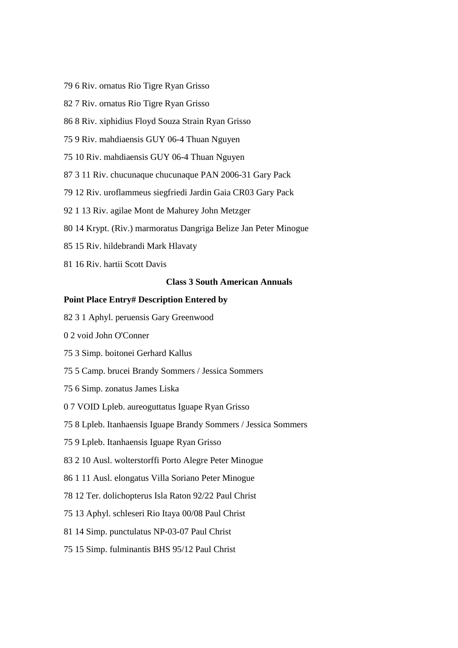- 79 6 Riv. ornatus Rio Tigre Ryan Grisso
- 82 7 Riv. ornatus Rio Tigre Ryan Grisso
- 86 8 Riv. xiphidius Floyd Souza Strain Ryan Grisso
- 75 9 Riv. mahdiaensis GUY 06-4 Thuan Nguyen
- 75 10 Riv. mahdiaensis GUY 06-4 Thuan Nguyen
- 87 3 11 Riv. chucunaque chucunaque PAN 2006-31 Gary Pack
- 79 12 Riv. uroflammeus siegfriedi Jardin Gaia CR03 Gary Pack
- 92 1 13 Riv. agilae Mont de Mahurey John Metzger
- 80 14 Krypt. (Riv.) marmoratus Dangriga Belize Jan Peter Minogue
- 85 15 Riv. hildebrandi Mark Hlavaty
- 81 16 Riv. hartii Scott Davis

## **Class 3 South American Annuals**

- 82 3 1 Aphyl. peruensis Gary Greenwood
- 0 2 void John O'Conner
- 75 3 Simp. boitonei Gerhard Kallus
- 75 5 Camp. brucei Brandy Sommers / Jessica Sommers
- 75 6 Simp. zonatus James Liska
- 0 7 VOID Lpleb. aureoguttatus Iguape Ryan Grisso
- 75 8 Lpleb. Itanhaensis Iguape Brandy Sommers / Jessica Sommers
- 75 9 Lpleb. Itanhaensis Iguape Ryan Grisso
- 83 2 10 Ausl. wolterstorffi Porto Alegre Peter Minogue
- 86 1 11 Ausl. elongatus Villa Soriano Peter Minogue
- 78 12 Ter. dolichopterus Isla Raton 92/22 Paul Christ
- 75 13 Aphyl. schleseri Rio Itaya 00/08 Paul Christ
- 81 14 Simp. punctulatus NP-03-07 Paul Christ
- 75 15 Simp. fulminantis BHS 95/12 Paul Christ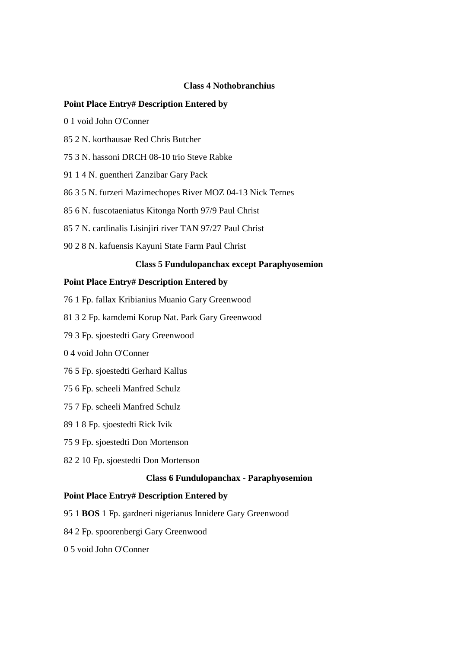#### **Class 4 Nothobranchius**

#### **Point Place Entry# Description Entered by**

- 0 1 void John O'Conner
- 85 2 N. korthausae Red Chris Butcher
- 75 3 N. hassoni DRCH 08-10 trio Steve Rabke
- 91 1 4 N. guentheri Zanzibar Gary Pack
- 86 3 5 N. furzeri Mazimechopes River MOZ 04-13 Nick Ternes
- 85 6 N. fuscotaeniatus Kitonga North 97/9 Paul Christ
- 85 7 N. cardinalis Lisinjiri river TAN 97/27 Paul Christ
- 90 2 8 N. kafuensis Kayuni State Farm Paul Christ

### **Class 5 Fundulopanchax except Paraphyosemion**

## **Point Place Entry# Description Entered by**

- 76 1 Fp. fallax Kribianius Muanio Gary Greenwood
- 81 3 2 Fp. kamdemi Korup Nat. Park Gary Greenwood
- 79 3 Fp. sjoestedti Gary Greenwood
- 0 4 void John O'Conner
- 76 5 Fp. sjoestedti Gerhard Kallus
- 75 6 Fp. scheeli Manfred Schulz
- 75 7 Fp. scheeli Manfred Schulz
- 89 1 8 Fp. sjoestedti Rick Ivik
- 75 9 Fp. sjoestedti Don Mortenson
- 82 2 10 Fp. sjoestedti Don Mortenson

### **Class 6 Fundulopanchax - Paraphyosemion**

- 95 1 **BOS** 1 Fp. gardneri nigerianus Innidere Gary Greenwood
- 84 2 Fp. spoorenbergi Gary Greenwood
- 0 5 void John O'Conner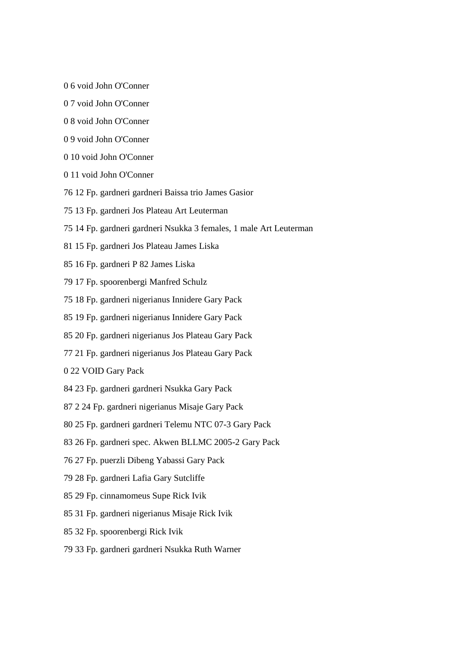- 0 6 void John O'Conner
- 0 7 void John O'Conner
- 0 8 void John O'Conner
- 0 9 void John O'Conner
- 0 10 void John O'Conner
- 0 11 void John O'Conner
- 76 12 Fp. gardneri gardneri Baissa trio James Gasior
- 75 13 Fp. gardneri Jos Plateau Art Leuterman
- 75 14 Fp. gardneri gardneri Nsukka 3 females, 1 male Art Leuterman
- 81 15 Fp. gardneri Jos Plateau James Liska
- 85 16 Fp. gardneri P 82 James Liska
- 79 17 Fp. spoorenbergi Manfred Schulz
- 75 18 Fp. gardneri nigerianus Innidere Gary Pack
- 85 19 Fp. gardneri nigerianus Innidere Gary Pack
- 85 20 Fp. gardneri nigerianus Jos Plateau Gary Pack
- 77 21 Fp. gardneri nigerianus Jos Plateau Gary Pack
- 0 22 VOID Gary Pack
- 84 23 Fp. gardneri gardneri Nsukka Gary Pack
- 87 2 24 Fp. gardneri nigerianus Misaje Gary Pack
- 80 25 Fp. gardneri gardneri Telemu NTC 07-3 Gary Pack
- 83 26 Fp. gardneri spec. Akwen BLLMC 2005-2 Gary Pack
- 76 27 Fp. puerzli Dibeng Yabassi Gary Pack
- 79 28 Fp. gardneri Lafia Gary Sutcliffe
- 85 29 Fp. cinnamomeus Supe Rick Ivik
- 85 31 Fp. gardneri nigerianus Misaje Rick Ivik
- 85 32 Fp. spoorenbergi Rick Ivik
- 79 33 Fp. gardneri gardneri Nsukka Ruth Warner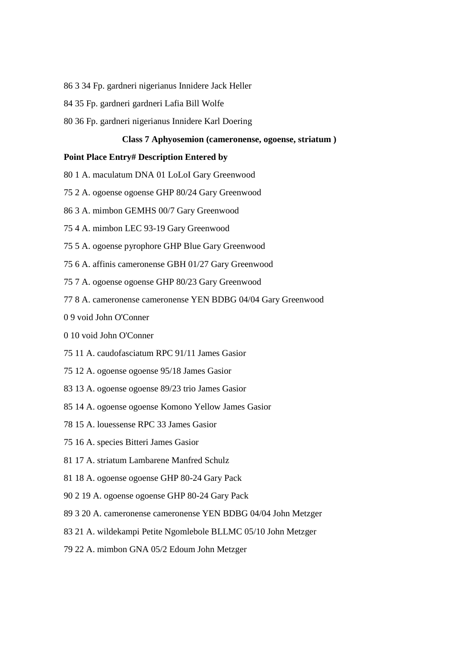- 86 3 34 Fp. gardneri nigerianus Innidere Jack Heller
- 84 35 Fp. gardneri gardneri Lafia Bill Wolfe
- 80 36 Fp. gardneri nigerianus Innidere Karl Doering

#### **Class 7 Aphyosemion (cameronense, ogoense, striatum )**

- 80 1 A. maculatum DNA 01 LoLoI Gary Greenwood
- 75 2 A. ogoense ogoense GHP 80/24 Gary Greenwood
- 86 3 A. mimbon GEMHS 00/7 Gary Greenwood
- 75 4 A. mimbon LEC 93-19 Gary Greenwood
- 75 5 A. ogoense pyrophore GHP Blue Gary Greenwood
- 75 6 A. affinis cameronense GBH 01/27 Gary Greenwood
- 75 7 A. ogoense ogoense GHP 80/23 Gary Greenwood
- 77 8 A. cameronense cameronense YEN BDBG 04/04 Gary Greenwood
- 0 9 void John O'Conner
- 0 10 void John O'Conner
- 75 11 A. caudofasciatum RPC 91/11 James Gasior
- 75 12 A. ogoense ogoense 95/18 James Gasior
- 83 13 A. ogoense ogoense 89/23 trio James Gasior
- 85 14 A. ogoense ogoense Komono Yellow James Gasior
- 78 15 A. louessense RPC 33 James Gasior
- 75 16 A. species Bitteri James Gasior
- 81 17 A. striatum Lambarene Manfred Schulz
- 81 18 A. ogoense ogoense GHP 80-24 Gary Pack
- 90 2 19 A. ogoense ogoense GHP 80-24 Gary Pack
- 89 3 20 A. cameronense cameronense YEN BDBG 04/04 John Metzger
- 83 21 A. wildekampi Petite Ngomlebole BLLMC 05/10 John Metzger
- 79 22 A. mimbon GNA 05/2 Edoum John Metzger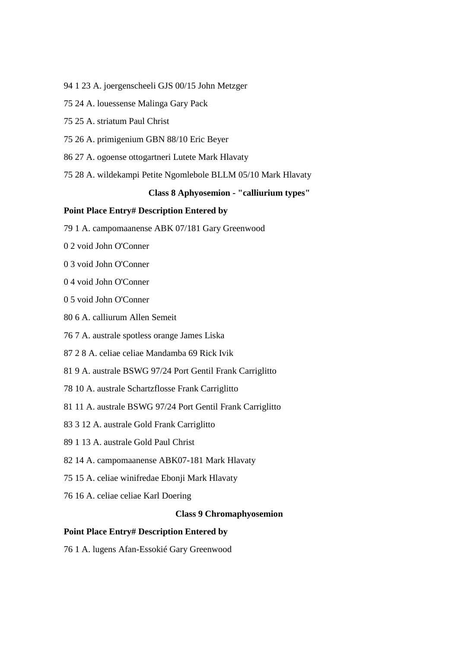- 94 1 23 A. joergenscheeli GJS 00/15 John Metzger
- 75 24 A. louessense Malinga Gary Pack
- 75 25 A. striatum Paul Christ
- 75 26 A. primigenium GBN 88/10 Eric Beyer
- 86 27 A. ogoense ottogartneri Lutete Mark Hlavaty
- 75 28 A. wildekampi Petite Ngomlebole BLLM 05/10 Mark Hlavaty

#### **Class 8 Aphyosemion - "calliurium types"**

## **Point Place Entry# Description Entered by**

- 79 1 A. campomaanense ABK 07/181 Gary Greenwood
- 0 2 void John O'Conner
- 0 3 void John O'Conner
- 0 4 void John O'Conner
- 0 5 void John O'Conner
- 80 6 A. calliurum Allen Semeit
- 76 7 A. australe spotless orange James Liska
- 87 2 8 A. celiae celiae Mandamba 69 Rick Ivik
- 81 9 A. australe BSWG 97/24 Port Gentil Frank Carriglitto
- 78 10 A. australe Schartzflosse Frank Carriglitto
- 81 11 A. australe BSWG 97/24 Port Gentil Frank Carriglitto
- 83 3 12 A. australe Gold Frank Carriglitto
- 89 1 13 A. australe Gold Paul Christ
- 82 14 A. campomaanense ABK07-181 Mark Hlavaty
- 75 15 A. celiae winifredae Ebonji Mark Hlavaty
- 76 16 A. celiae celiae Karl Doering

### **Class 9 Chromaphyosemion**

## **Point Place Entry# Description Entered by**

76 1 A. lugens Afan-Essokié Gary Greenwood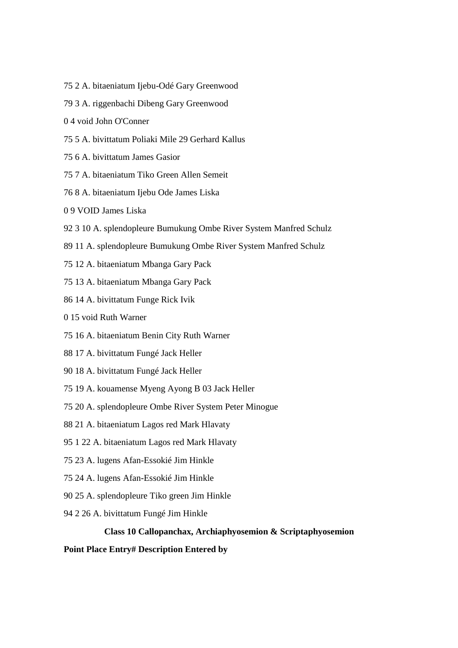- 75 2 A. bitaeniatum Ijebu-Odé Gary Greenwood
- 79 3 A. riggenbachi Dibeng Gary Greenwood
- 0 4 void John O'Conner
- 75 5 A. bivittatum Poliaki Mile 29 Gerhard Kallus
- 75 6 A. bivittatum James Gasior
- 75 7 A. bitaeniatum Tiko Green Allen Semeit
- 76 8 A. bitaeniatum Ijebu Ode James Liska
- 0 9 VOID James Liska
- 92 3 10 A. splendopleure Bumukung Ombe River System Manfred Schulz
- 89 11 A. splendopleure Bumukung Ombe River System Manfred Schulz
- 75 12 A. bitaeniatum Mbanga Gary Pack
- 75 13 A. bitaeniatum Mbanga Gary Pack
- 86 14 A. bivittatum Funge Rick Ivik
- 0 15 void Ruth Warner
- 75 16 A. bitaeniatum Benin City Ruth Warner
- 88 17 A. bivittatum Fungé Jack Heller
- 90 18 A. bivittatum Fungé Jack Heller
- 75 19 A. kouamense Myeng Ayong B 03 Jack Heller
- 75 20 A. splendopleure Ombe River System Peter Minogue
- 88 21 A. bitaeniatum Lagos red Mark Hlavaty
- 95 1 22 A. bitaeniatum Lagos red Mark Hlavaty
- 75 23 A. lugens Afan-Essokié Jim Hinkle
- 75 24 A. lugens Afan-Essokié Jim Hinkle
- 90 25 A. splendopleure Tiko green Jim Hinkle
- 94 2 26 A. bivittatum Fungé Jim Hinkle

### **Class 10 Callopanchax, Archiaphyosemion & Scriptaphyosemion**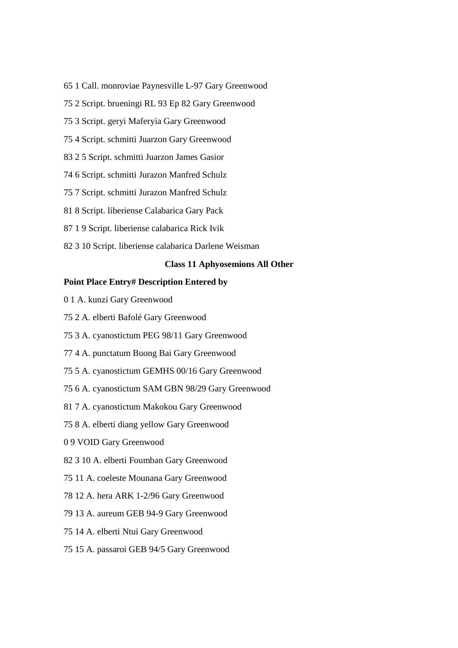- 65 1 Call. monroviae Paynesville L-97 Gary Greenwood
- 75 2 Script. brueningi RL 93 Ep 82 Gary Greenwood
- 75 3 Script. geryi Maferyia Gary Greenwood
- 75 4 Script. schmitti Juarzon Gary Greenwood
- 83 2 5 Script. schmitti Juarzon James Gasior
- 74 6 Script. schmitti Jurazon Manfred Schulz
- 75 7 Script. schmitti Jurazon Manfred Schulz
- 81 8 Script. liberiense Calabarica Gary Pack
- 87 1 9 Script. liberiense calabarica Rick Ivik
- 82 3 10 Script. liberiense calabarica Darlene Weisman

### **Class 11 Aphyosemions All Other**

- 0 1 A. kunzi Gary Greenwood
- 75 2 A. elberti Bafolé Gary Greenwood
- 75 3 A. cyanostictum PEG 98/11 Gary Greenwood
- 77 4 A. punctatum Buong Bai Gary Greenwood
- 75 5 A. cyanostictum GEMHS 00/16 Gary Greenwood
- 75 6 A. cyanostictum SAM GBN 98/29 Gary Greenwood
- 81 7 A. cyanostictum Makokou Gary Greenwood
- 75 8 A. elberti diang yellow Gary Greenwood
- 0 9 VOID Gary Greenwood
- 82 3 10 A. elberti Foumban Gary Greenwood
- 75 11 A. coeleste Mounana Gary Greenwood
- 78 12 A. hera ARK 1-2/96 Gary Greenwood
- 79 13 A. aureum GEB 94-9 Gary Greenwood
- 75 14 A. elberti Ntui Gary Greenwood
- 75 15 A. passaroi GEB 94/5 Gary Greenwood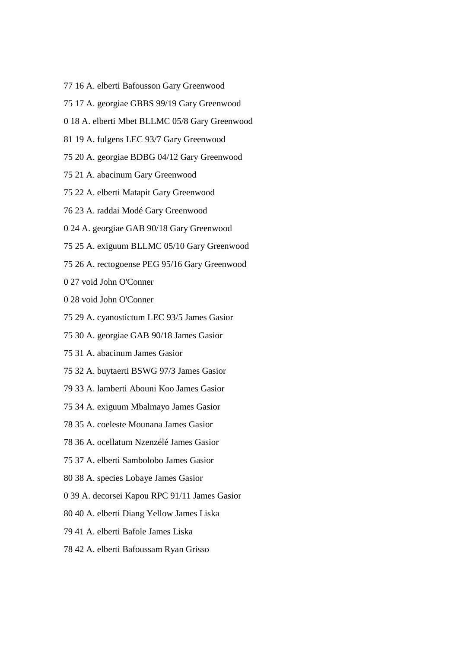- 77 16 A. elberti Bafousson Gary Greenwood
- 75 17 A. georgiae GBBS 99/19 Gary Greenwood
- 0 18 A. elberti Mbet BLLMC 05/8 Gary Greenwood
- 81 19 A. fulgens LEC 93/7 Gary Greenwood
- 75 20 A. georgiae BDBG 04/12 Gary Greenwood
- 75 21 A. abacinum Gary Greenwood
- 75 22 A. elberti Matapit Gary Greenwood
- 76 23 A. raddai Modé Gary Greenwood
- 0 24 A. georgiae GAB 90/18 Gary Greenwood
- 75 25 A. exiguum BLLMC 05/10 Gary Greenwood
- 75 26 A. rectogoense PEG 95/16 Gary Greenwood
- 0 27 void John O'Conner
- 0 28 void John O'Conner
- 75 29 A. cyanostictum LEC 93/5 James Gasior
- 75 30 A. georgiae GAB 90/18 James Gasior
- 75 31 A. abacinum James Gasior
- 75 32 A. buytaerti BSWG 97/3 James Gasior
- 79 33 A. lamberti Abouni Koo James Gasior
- 75 34 A. exiguum Mbalmayo James Gasior
- 78 35 A. coeleste Mounana James Gasior
- 78 36 A. ocellatum Nzenzélé James Gasior
- 75 37 A. elberti Sambolobo James Gasior
- 80 38 A. species Lobaye James Gasior
- 0 39 A. decorsei Kapou RPC 91/11 James Gasior
- 80 40 A. elberti Diang Yellow James Liska
- 79 41 A. elberti Bafole James Liska
- 78 42 A. elberti Bafoussam Ryan Grisso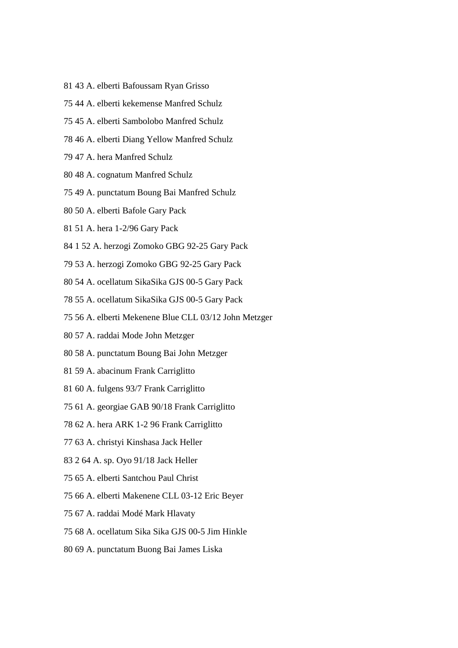- 81 43 A. elberti Bafoussam Ryan Grisso
- 75 44 A. elberti kekemense Manfred Schulz
- 75 45 A. elberti Sambolobo Manfred Schulz
- 78 46 A. elberti Diang Yellow Manfred Schulz
- 79 47 A. hera Manfred Schulz
- 80 48 A. cognatum Manfred Schulz
- 75 49 A. punctatum Boung Bai Manfred Schulz
- 80 50 A. elberti Bafole Gary Pack
- 81 51 A. hera 1-2/96 Gary Pack
- 84 1 52 A. herzogi Zomoko GBG 92-25 Gary Pack
- 79 53 A. herzogi Zomoko GBG 92-25 Gary Pack
- 80 54 A. ocellatum SikaSika GJS 00-5 Gary Pack
- 78 55 A. ocellatum SikaSika GJS 00-5 Gary Pack
- 75 56 A. elberti Mekenene Blue CLL 03/12 John Metzger
- 80 57 A. raddai Mode John Metzger
- 80 58 A. punctatum Boung Bai John Metzger
- 81 59 A. abacinum Frank Carriglitto
- 81 60 A. fulgens 93/7 Frank Carriglitto
- 75 61 A. georgiae GAB 90/18 Frank Carriglitto
- 78 62 A. hera ARK 1-2 96 Frank Carriglitto
- 77 63 A. christyi Kinshasa Jack Heller
- 83 2 64 A. sp. Oyo 91/18 Jack Heller
- 75 65 A. elberti Santchou Paul Christ
- 75 66 A. elberti Makenene CLL 03-12 Eric Beyer
- 75 67 A. raddai Modé Mark Hlavaty
- 75 68 A. ocellatum Sika Sika GJS 00-5 Jim Hinkle
- 80 69 A. punctatum Buong Bai James Liska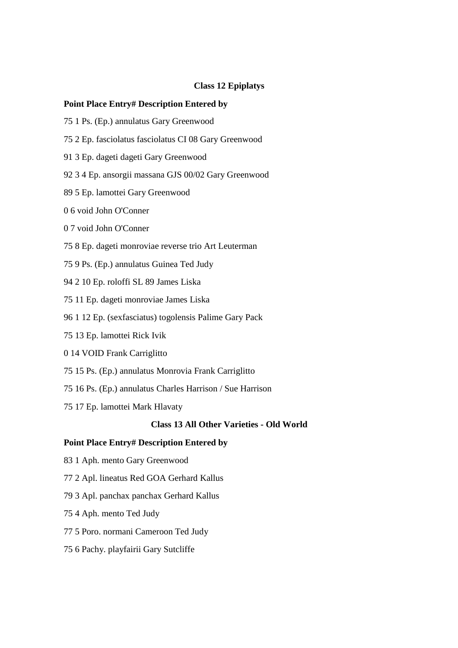## **Class 12 Epiplatys**

#### **Point Place Entry# Description Entered by**

- 75 1 Ps. (Ep.) annulatus Gary Greenwood
- 75 2 Ep. fasciolatus fasciolatus CI 08 Gary Greenwood
- 91 3 Ep. dageti dageti Gary Greenwood
- 92 3 4 Ep. ansorgii massana GJS 00/02 Gary Greenwood
- 89 5 Ep. lamottei Gary Greenwood
- 0 6 void John O'Conner
- 0 7 void John O'Conner
- 75 8 Ep. dageti monroviae reverse trio Art Leuterman
- 75 9 Ps. (Ep.) annulatus Guinea Ted Judy
- 94 2 10 Ep. roloffi SL 89 James Liska
- 75 11 Ep. dageti monroviae James Liska
- 96 1 12 Ep. (sexfasciatus) togolensis Palime Gary Pack
- 75 13 Ep. lamottei Rick Ivik
- 0 14 VOID Frank Carriglitto
- 75 15 Ps. (Ep.) annulatus Monrovia Frank Carriglitto
- 75 16 Ps. (Ep.) annulatus Charles Harrison / Sue Harrison
- 75 17 Ep. lamottei Mark Hlavaty

### **Class 13 All Other Varieties - Old World**

- 83 1 Aph. mento Gary Greenwood
- 77 2 Apl. lineatus Red GOA Gerhard Kallus
- 79 3 Apl. panchax panchax Gerhard Kallus
- 75 4 Aph. mento Ted Judy
- 77 5 Poro. normani Cameroon Ted Judy
- 75 6 Pachy. playfairii Gary Sutcliffe